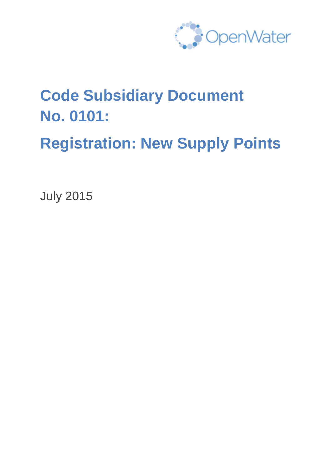

# **Code Subsidiary Document No. 0101:**

**Registration: New Supply Points**

July 2015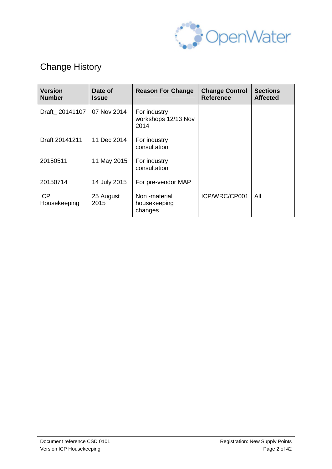

# Change History

| <b>Version</b><br><b>Number</b> | Date of<br><b>Issue</b> | <b>Reason For Change</b>                    | <b>Change Control</b><br><b>Reference</b> | <b>Sections</b><br><b>Affected</b> |
|---------------------------------|-------------------------|---------------------------------------------|-------------------------------------------|------------------------------------|
| Draft 20141107                  | 07 Nov 2014             | For industry<br>workshops 12/13 Nov<br>2014 |                                           |                                    |
| Draft 20141211                  | 11 Dec 2014             | For industry<br>consultation                |                                           |                                    |
| 20150511                        | 11 May 2015             | For industry<br>consultation                |                                           |                                    |
| 20150714                        | 14 July 2015            | For pre-vendor MAP                          |                                           |                                    |
| <b>ICP</b><br>Housekeeping      | 25 August<br>2015       | Non-material<br>housekeeping<br>changes     | ICP/WRC/CP001                             | All                                |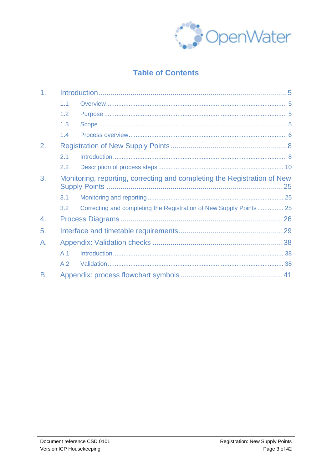

### **Table of Contents**

| 1 <sub>r</sub> |     |                                                                          |  |  |  |  |  |
|----------------|-----|--------------------------------------------------------------------------|--|--|--|--|--|
|                | 1.1 |                                                                          |  |  |  |  |  |
|                | 1.2 |                                                                          |  |  |  |  |  |
|                | 1.3 |                                                                          |  |  |  |  |  |
|                | 1.4 |                                                                          |  |  |  |  |  |
| 2.             |     |                                                                          |  |  |  |  |  |
|                | 2.1 |                                                                          |  |  |  |  |  |
|                | 2.2 |                                                                          |  |  |  |  |  |
| 3.             |     | Monitoring, reporting, correcting and completing the Registration of New |  |  |  |  |  |
|                | 3.1 |                                                                          |  |  |  |  |  |
|                | 3.2 | Correcting and completing the Registration of New Supply Points 25       |  |  |  |  |  |
| 4.             |     |                                                                          |  |  |  |  |  |
| 5.             |     |                                                                          |  |  |  |  |  |
| А.             |     |                                                                          |  |  |  |  |  |
|                | A.1 |                                                                          |  |  |  |  |  |
|                | A.2 |                                                                          |  |  |  |  |  |
| <b>B.</b>      |     |                                                                          |  |  |  |  |  |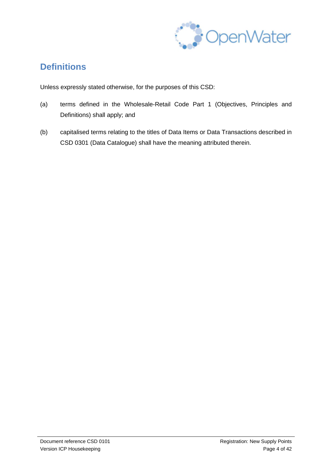

### **Definitions**

Unless expressly stated otherwise, for the purposes of this CSD:

- (a) terms defined in the Wholesale-Retail Code Part 1 (Objectives, Principles and Definitions) shall apply; and
- (b) capitalised terms relating to the titles of Data Items or Data Transactions described in CSD 0301 (Data Catalogue) shall have the meaning attributed therein.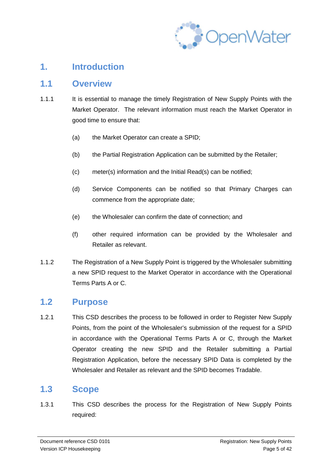

### **1. Introduction**

### **1.1 Overview**

- 1.1.1 It is essential to manage the timely Registration of New Supply Points with the Market Operator. The relevant information must reach the Market Operator in good time to ensure that:
	- (a) the Market Operator can create a SPID;
	- (b) the Partial Registration Application can be submitted by the Retailer;
	- (c) meter(s) information and the Initial Read(s) can be notified;
	- (d) Service Components can be notified so that Primary Charges can commence from the appropriate date;
	- (e) the Wholesaler can confirm the date of connection; and
	- (f) other required information can be provided by the Wholesaler and Retailer as relevant.
- 1.1.2 The Registration of a New Supply Point is triggered by the Wholesaler submitting a new SPID request to the Market Operator in accordance with the Operational Terms Parts A or C.

### **1.2 Purpose**

1.2.1 This CSD describes the process to be followed in order to Register New Supply Points, from the point of the Wholesaler's submission of the request for a SPID in accordance with the Operational Terms Parts A or C, through the Market Operator creating the new SPID and the Retailer submitting a Partial Registration Application, before the necessary SPID Data is completed by the Wholesaler and Retailer as relevant and the SPID becomes Tradable.

### **1.3 Scope**

1.3.1 This CSD describes the process for the Registration of New Supply Points required: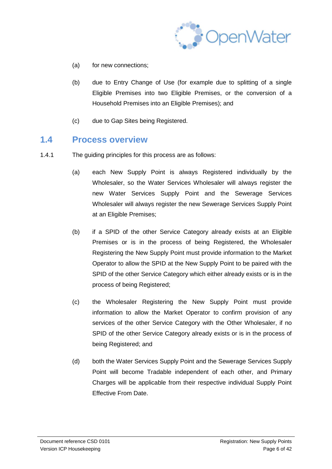

- (a) for new connections;
- (b) due to Entry Change of Use (for example due to splitting of a single Eligible Premises into two Eligible Premises, or the conversion of a Household Premises into an Eligible Premises); and
- (c) due to Gap Sites being Registered.

### **1.4 Process overview**

- 1.4.1 The guiding principles for this process are as follows:
	- (a) each New Supply Point is always Registered individually by the Wholesaler, so the Water Services Wholesaler will always register the new Water Services Supply Point and the Sewerage Services Wholesaler will always register the new Sewerage Services Supply Point at an Eligible Premises;
	- (b) if a SPID of the other Service Category already exists at an Eligible Premises or is in the process of being Registered, the Wholesaler Registering the New Supply Point must provide information to the Market Operator to allow the SPID at the New Supply Point to be paired with the SPID of the other Service Category which either already exists or is in the process of being Registered;
	- (c) the Wholesaler Registering the New Supply Point must provide information to allow the Market Operator to confirm provision of any services of the other Service Category with the Other Wholesaler, if no SPID of the other Service Category already exists or is in the process of being Registered; and
	- (d) both the Water Services Supply Point and the Sewerage Services Supply Point will become Tradable independent of each other, and Primary Charges will be applicable from their respective individual Supply Point Effective From Date.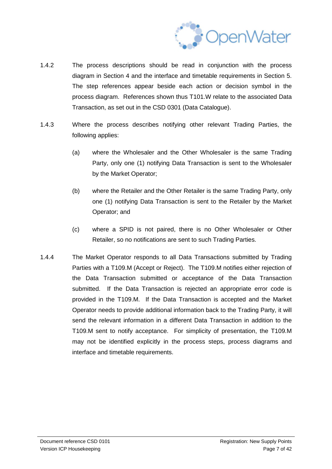

- 1.4.2 The process descriptions should be read in conjunction with the process diagram in Section 4 and the interface and timetable requirements in Section 5. The step references appear beside each action or decision symbol in the process diagram. References shown thus T101.W relate to the associated Data Transaction, as set out in the CSD 0301 (Data Catalogue).
- 1.4.3 Where the process describes notifying other relevant Trading Parties, the following applies:
	- (a) where the Wholesaler and the Other Wholesaler is the same Trading Party, only one (1) notifying Data Transaction is sent to the Wholesaler by the Market Operator;
	- (b) where the Retailer and the Other Retailer is the same Trading Party, only one (1) notifying Data Transaction is sent to the Retailer by the Market Operator; and
	- (c) where a SPID is not paired, there is no Other Wholesaler or Other Retailer, so no notifications are sent to such Trading Parties.
- 1.4.4 The Market Operator responds to all Data Transactions submitted by Trading Parties with a T109.M (Accept or Reject). The T109.M notifies either rejection of the Data Transaction submitted or acceptance of the Data Transaction submitted. If the Data Transaction is rejected an appropriate error code is provided in the T109.M. If the Data Transaction is accepted and the Market Operator needs to provide additional information back to the Trading Party, it will send the relevant information in a different Data Transaction in addition to the T109.M sent to notify acceptance. For simplicity of presentation, the T109.M may not be identified explicitly in the process steps, process diagrams and interface and timetable requirements.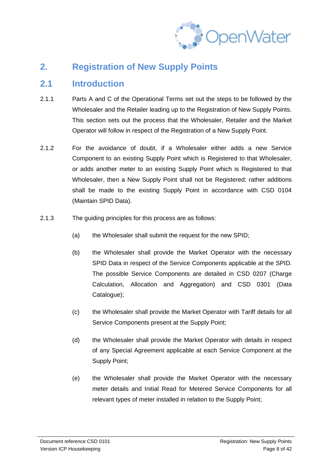

### **2. Registration of New Supply Points**

### **2.1 Introduction**

- 2.1.1 Parts A and C of the Operational Terms set out the steps to be followed by the Wholesaler and the Retailer leading up to the Registration of New Supply Points. This section sets out the process that the Wholesaler, Retailer and the Market Operator will follow in respect of the Registration of a New Supply Point.
- 2.1.2 For the avoidance of doubt, if a Wholesaler either adds a new Service Component to an existing Supply Point which is Registered to that Wholesaler, or adds another meter to an existing Supply Point which is Registered to that Wholesaler, then a New Supply Point shall not be Registered; rather additions shall be made to the existing Supply Point in accordance with CSD 0104 (Maintain SPID Data).
- 2.1.3 The guiding principles for this process are as follows:
	- (a) the Wholesaler shall submit the request for the new SPID;
	- (b) the Wholesaler shall provide the Market Operator with the necessary SPID Data in respect of the Service Components applicable at the SPID. The possible Service Components are detailed in CSD 0207 (Charge Calculation, Allocation and Aggregation) and CSD 0301 (Data Catalogue);
	- (c) the Wholesaler shall provide the Market Operator with Tariff details for all Service Components present at the Supply Point;
	- (d) the Wholesaler shall provide the Market Operator with details in respect of any Special Agreement applicable at each Service Component at the Supply Point;
	- (e) the Wholesaler shall provide the Market Operator with the necessary meter details and Initial Read for Metered Service Components for all relevant types of meter installed in relation to the Supply Point;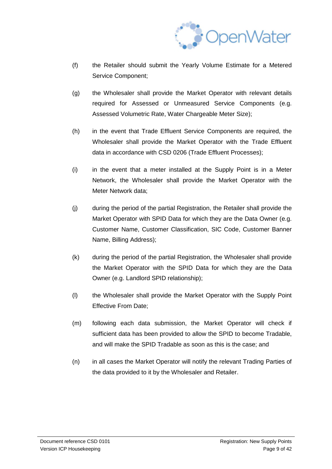

- (f) the Retailer should submit the Yearly Volume Estimate for a Metered Service Component;
- (g) the Wholesaler shall provide the Market Operator with relevant details required for Assessed or Unmeasured Service Components (e.g. Assessed Volumetric Rate, Water Chargeable Meter Size);
- (h) in the event that Trade Effluent Service Components are required, the Wholesaler shall provide the Market Operator with the Trade Effluent data in accordance with CSD 0206 (Trade Effluent Processes);
- (i) in the event that a meter installed at the Supply Point is in a Meter Network, the Wholesaler shall provide the Market Operator with the Meter Network data;
- (j) during the period of the partial Registration, the Retailer shall provide the Market Operator with SPID Data for which they are the Data Owner (e.g. Customer Name, Customer Classification, SIC Code, Customer Banner Name, Billing Address);
- (k) during the period of the partial Registration, the Wholesaler shall provide the Market Operator with the SPID Data for which they are the Data Owner (e.g. Landlord SPID relationship);
- (l) the Wholesaler shall provide the Market Operator with the Supply Point Effective From Date;
- (m) following each data submission, the Market Operator will check if sufficient data has been provided to allow the SPID to become Tradable, and will make the SPID Tradable as soon as this is the case; and
- (n) in all cases the Market Operator will notify the relevant Trading Parties of the data provided to it by the Wholesaler and Retailer.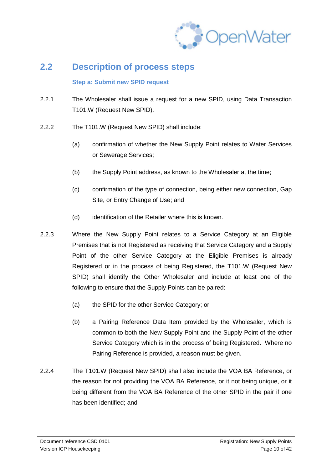

### **2.2 Description of process steps**

#### **Step a: Submit new SPID request**

- 2.2.1 The Wholesaler shall issue a request for a new SPID, using Data Transaction T101.W (Request New SPID).
- 2.2.2 The T101.W (Request New SPID) shall include:
	- (a) confirmation of whether the New Supply Point relates to Water Services or Sewerage Services;
	- (b) the Supply Point address, as known to the Wholesaler at the time;
	- (c) confirmation of the type of connection, being either new connection, Gap Site, or Entry Change of Use; and
	- (d) identification of the Retailer where this is known.
- 2.2.3 Where the New Supply Point relates to a Service Category at an Eligible Premises that is not Registered as receiving that Service Category and a Supply Point of the other Service Category at the Eligible Premises is already Registered or in the process of being Registered, the T101.W (Request New SPID) shall identify the Other Wholesaler and include at least one of the following to ensure that the Supply Points can be paired:
	- (a) the SPID for the other Service Category; or
	- (b) a Pairing Reference Data Item provided by the Wholesaler, which is common to both the New Supply Point and the Supply Point of the other Service Category which is in the process of being Registered. Where no Pairing Reference is provided, a reason must be given.
- 2.2.4 The T101.W (Request New SPID) shall also include the VOA BA Reference, or the reason for not providing the VOA BA Reference, or it not being unique, or it being different from the VOA BA Reference of the other SPID in the pair if one has been identified; and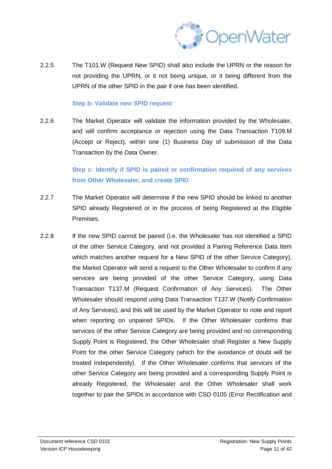

2.2.5 The T101.W (Request New SPID) shall also include the UPRN or the reason for not providing the UPRN, or it not being unique, or it being different from the UPRN of the other SPID in the pair if one has been identified.

#### **Step b: Validate new SPID request**

2.2.6 The Market Operator will validate the information provided by the Wholesaler, and will confirm acceptance or rejection using the Data Transaction T109.M (Accept or Reject), within one (1) Business Day of submission of the Data Transaction by the Data Owner.

> **Step c: Identify if SPID is paired or confirmation required of any services from Other Wholesaler, and create SPID**

- 2.2.7 The Market Operator will determine if the new SPID should be linked to another SPID already Registered or in the process of being Registered at the Eligible Premises.
- 2.2.8 If the new SPID cannot be paired (i.e. the Wholesaler has not identified a SPID of the other Service Category, and not provided a Pairing Reference Data Item which matches another request for a New SPID of the other Service Category), the Market Operator will send a request to the Other Wholesaler to confirm if any services are being provided of the other Service Category, using Data Transaction T137.M (Request Confirmation of Any Services). The Other Wholesaler should respond using Data Transaction T137.W (Notify Confirmation of Any Services), and this will be used by the Market Operator to note and report when reporting on unpaired SPIDs. If the Other Wholesaler confirms that services of the other Service Category are being provided and no corresponding Supply Point is Registered, the Other Wholesaler shall Register a New Supply Point for the other Service Category (which for the avoidance of doubt will be treated independently). If the Other Wholesaler confirms that services of the other Service Category are being provided and a corresponding Supply Point is already Registered, the Wholesaler and the Other Wholesaler shall work together to pair the SPIDs in accordance with CSD 0105 (Error Rectification and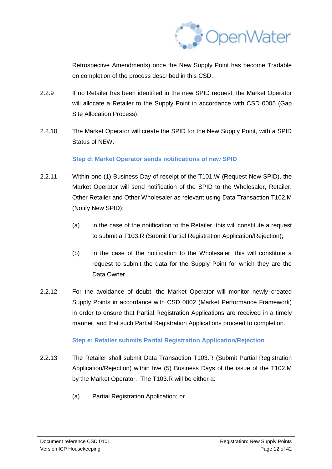

Retrospective Amendments) once the New Supply Point has become Tradable on completion of the process described in this CSD.

- 2.2.9 If no Retailer has been identified in the new SPID request, the Market Operator will allocate a Retailer to the Supply Point in accordance with CSD 0005 (Gap Site Allocation Process).
- 2.2.10 The Market Operator will create the SPID for the New Supply Point, with a SPID Status of NEW.

#### **Step d: Market Operator sends notifications of new SPID**

- 2.2.11 Within one (1) Business Day of receipt of the T101.W (Request New SPID), the Market Operator will send notification of the SPID to the Wholesaler, Retailer, Other Retailer and Other Wholesaler as relevant using Data Transaction T102.M (Notify New SPID):
	- (a) in the case of the notification to the Retailer, this will constitute a request to submit a T103.R (Submit Partial Registration Application/Rejection);
	- (b) in the case of the notification to the Wholesaler, this will constitute a request to submit the data for the Supply Point for which they are the Data Owner.
- 2.2.12 For the avoidance of doubt, the Market Operator will monitor newly created Supply Points in accordance with CSD 0002 (Market Performance Framework) in order to ensure that Partial Registration Applications are received in a timely manner, and that such Partial Registration Applications proceed to completion.

#### **Step e: Retailer submits Partial Registration Application/Rejection**

- 2.2.13 The Retailer shall submit Data Transaction T103.R (Submit Partial Registration Application/Rejection) within five (5) Business Days of the issue of the T102.M by the Market Operator. The T103.R will be either a:
	- (a) Partial Registration Application; or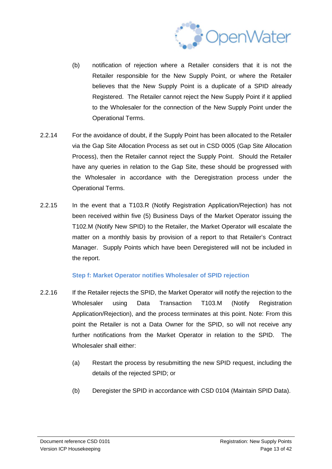

- (b) notification of rejection where a Retailer considers that it is not the Retailer responsible for the New Supply Point, or where the Retailer believes that the New Supply Point is a duplicate of a SPID already Registered. The Retailer cannot reject the New Supply Point if it applied to the Wholesaler for the connection of the New Supply Point under the Operational Terms.
- 2.2.14 For the avoidance of doubt, if the Supply Point has been allocated to the Retailer via the Gap Site Allocation Process as set out in CSD 0005 (Gap Site Allocation Process), then the Retailer cannot reject the Supply Point. Should the Retailer have any queries in relation to the Gap Site, these should be progressed with the Wholesaler in accordance with the Deregistration process under the Operational Terms.
- 2.2.15 In the event that a T103.R (Notify Registration Application/Rejection) has not been received within five (5) Business Days of the Market Operator issuing the T102.M (Notify New SPID) to the Retailer, the Market Operator will escalate the matter on a monthly basis by provision of a report to that Retailer's Contract Manager. Supply Points which have been Deregistered will not be included in the report.

#### **Step f: Market Operator notifies Wholesaler of SPID rejection**

- 2.2.16 If the Retailer rejects the SPID, the Market Operator will notify the rejection to the Wholesaler using Data Transaction T103.M (Notify Registration Application/Rejection), and the process terminates at this point. Note: From this point the Retailer is not a Data Owner for the SPID, so will not receive any further notifications from the Market Operator in relation to the SPID. The Wholesaler shall either:
	- (a) Restart the process by resubmitting the new SPID request, including the details of the rejected SPID; or
	- (b) Deregister the SPID in accordance with CSD 0104 (Maintain SPID Data).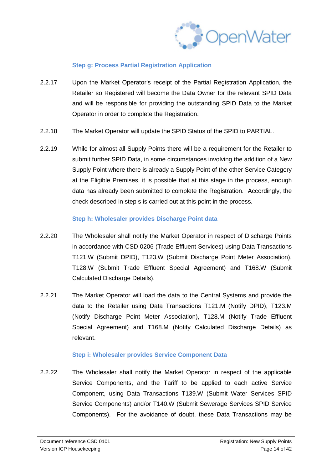

#### **Step g: Process Partial Registration Application**

- 2.2.17 Upon the Market Operator's receipt of the Partial Registration Application, the Retailer so Registered will become the Data Owner for the relevant SPID Data and will be responsible for providing the outstanding SPID Data to the Market Operator in order to complete the Registration.
- 2.2.18 The Market Operator will update the SPID Status of the SPID to PARTIAL.
- 2.2.19 While for almost all Supply Points there will be a requirement for the Retailer to submit further SPID Data, in some circumstances involving the addition of a New Supply Point where there is already a Supply Point of the other Service Category at the Eligible Premises, it is possible that at this stage in the process, enough data has already been submitted to complete the Registration. Accordingly, the check described in step s is carried out at this point in the process.

#### **Step h: Wholesaler provides Discharge Point data**

- 2.2.20 The Wholesaler shall notify the Market Operator in respect of Discharge Points in accordance with CSD 0206 (Trade Effluent Services) using Data Transactions T121.W (Submit DPID), T123.W (Submit Discharge Point Meter Association), T128.W (Submit Trade Effluent Special Agreement) and T168.W (Submit Calculated Discharge Details).
- 2.2.21 The Market Operator will load the data to the Central Systems and provide the data to the Retailer using Data Transactions T121.M (Notify DPID), T123.M (Notify Discharge Point Meter Association), T128.M (Notify Trade Effluent Special Agreement) and T168.M (Notify Calculated Discharge Details) as relevant.

#### **Step i: Wholesaler provides Service Component Data**

2.2.22 The Wholesaler shall notify the Market Operator in respect of the applicable Service Components, and the Tariff to be applied to each active Service Component, using Data Transactions T139.W (Submit Water Services SPID Service Components) and/or T140.W (Submit Sewerage Services SPID Service Components). For the avoidance of doubt, these Data Transactions may be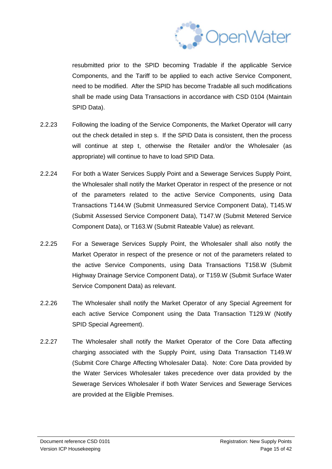

resubmitted prior to the SPID becoming Tradable if the applicable Service Components, and the Tariff to be applied to each active Service Component, need to be modified. After the SPID has become Tradable all such modifications shall be made using Data Transactions in accordance with CSD 0104 (Maintain SPID Data).

- 2.2.23 Following the loading of the Service Components, the Market Operator will carry out the check detailed in step s. If the SPID Data is consistent, then the process will continue at step t, otherwise the Retailer and/or the Wholesaler (as appropriate) will continue to have to load SPID Data.
- 2.2.24 For both a Water Services Supply Point and a Sewerage Services Supply Point, the Wholesaler shall notify the Market Operator in respect of the presence or not of the parameters related to the active Service Components, using Data Transactions T144.W (Submit Unmeasured Service Component Data), T145.W (Submit Assessed Service Component Data), T147.W (Submit Metered Service Component Data), or T163.W (Submit Rateable Value) as relevant.
- 2.2.25 For a Sewerage Services Supply Point, the Wholesaler shall also notify the Market Operator in respect of the presence or not of the parameters related to the active Service Components, using Data Transactions T158.W (Submit Highway Drainage Service Component Data), or T159.W (Submit Surface Water Service Component Data) as relevant.
- 2.2.26 The Wholesaler shall notify the Market Operator of any Special Agreement for each active Service Component using the Data Transaction T129.W (Notify SPID Special Agreement).
- 2.2.27 The Wholesaler shall notify the Market Operator of the Core Data affecting charging associated with the Supply Point, using Data Transaction T149.W (Submit Core Charge Affecting Wholesaler Data). Note: Core Data provided by the Water Services Wholesaler takes precedence over data provided by the Sewerage Services Wholesaler if both Water Services and Sewerage Services are provided at the Eligible Premises.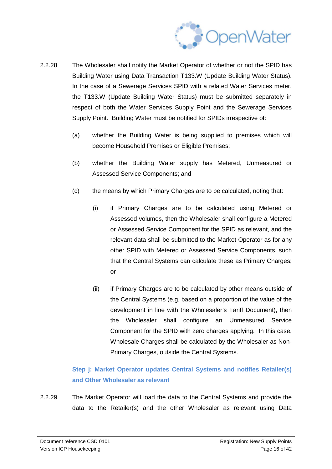

- 2.2.28 The Wholesaler shall notify the Market Operator of whether or not the SPID has Building Water using Data Transaction T133.W (Update Building Water Status). In the case of a Sewerage Services SPID with a related Water Services meter, the T133.W (Update Building Water Status) must be submitted separately in respect of both the Water Services Supply Point and the Sewerage Services Supply Point. Building Water must be notified for SPIDs irrespective of:
	- (a) whether the Building Water is being supplied to premises which will become Household Premises or Eligible Premises;
	- (b) whether the Building Water supply has Metered, Unmeasured or Assessed Service Components; and
	- (c) the means by which Primary Charges are to be calculated, noting that:
		- (i) if Primary Charges are to be calculated using Metered or Assessed volumes, then the Wholesaler shall configure a Metered or Assessed Service Component for the SPID as relevant, and the relevant data shall be submitted to the Market Operator as for any other SPID with Metered or Assessed Service Components, such that the Central Systems can calculate these as Primary Charges; or
		- (ii) if Primary Charges are to be calculated by other means outside of the Central Systems (e.g. based on a proportion of the value of the development in line with the Wholesaler's Tariff Document), then the Wholesaler shall configure an Unmeasured Service Component for the SPID with zero charges applying. In this case, Wholesale Charges shall be calculated by the Wholesaler as Non-Primary Charges, outside the Central Systems.

### **Step j: Market Operator updates Central Systems and notifies Retailer(s) and Other Wholesaler as relevant**

2.2.29 The Market Operator will load the data to the Central Systems and provide the data to the Retailer(s) and the other Wholesaler as relevant using Data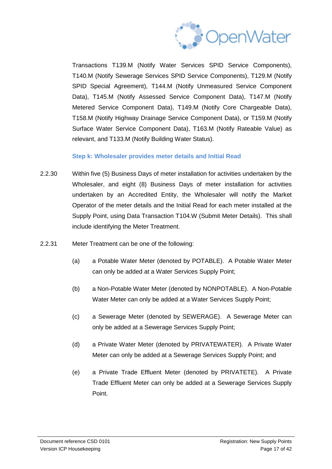

Transactions T139.M (Notify Water Services SPID Service Components), T140.M (Notify Sewerage Services SPID Service Components), T129.M (Notify SPID Special Agreement), T144.M (Notify Unmeasured Service Component Data), T145.M (Notify Assessed Service Component Data), T147.M (Notify Metered Service Component Data), T149.M (Notify Core Chargeable Data), T158.M (Notify Highway Drainage Service Component Data), or T159.M (Notify Surface Water Service Component Data), T163.M (Notify Rateable Value) as relevant, and T133.M (Notify Building Water Status).

#### **Step k: Wholesaler provides meter details and Initial Read**

- 2.2.30 Within five (5) Business Days of meter installation for activities undertaken by the Wholesaler, and eight (8) Business Days of meter installation for activities undertaken by an Accredited Entity, the Wholesaler will notify the Market Operator of the meter details and the Initial Read for each meter installed at the Supply Point, using Data Transaction T104.W (Submit Meter Details). This shall include identifying the Meter Treatment.
- 2.2.31 Meter Treatment can be one of the following:
	- (a) a Potable Water Meter (denoted by POTABLE). A Potable Water Meter can only be added at a Water Services Supply Point;
	- (b) a Non-Potable Water Meter (denoted by NONPOTABLE). A Non-Potable Water Meter can only be added at a Water Services Supply Point;
	- (c) a Sewerage Meter (denoted by SEWERAGE). A Sewerage Meter can only be added at a Sewerage Services Supply Point;
	- (d) a Private Water Meter (denoted by PRIVATEWATER). A Private Water Meter can only be added at a Sewerage Services Supply Point; and
	- (e) a Private Trade Effluent Meter (denoted by PRIVATETE). A Private Trade Effluent Meter can only be added at a Sewerage Services Supply Point.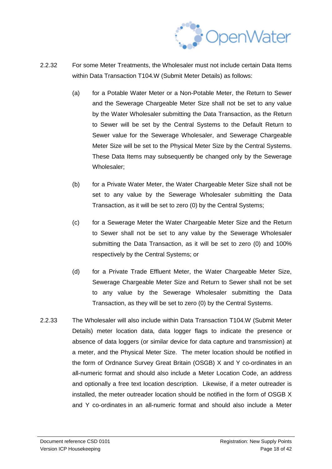

- 2.2.32 For some Meter Treatments, the Wholesaler must not include certain Data Items within Data Transaction T104.W (Submit Meter Details) as follows:
	- (a) for a Potable Water Meter or a Non-Potable Meter, the Return to Sewer and the Sewerage Chargeable Meter Size shall not be set to any value by the Water Wholesaler submitting the Data Transaction, as the Return to Sewer will be set by the Central Systems to the Default Return to Sewer value for the Sewerage Wholesaler, and Sewerage Chargeable Meter Size will be set to the Physical Meter Size by the Central Systems. These Data Items may subsequently be changed only by the Sewerage Wholesaler;
	- (b) for a Private Water Meter, the Water Chargeable Meter Size shall not be set to any value by the Sewerage Wholesaler submitting the Data Transaction, as it will be set to zero (0) by the Central Systems;
	- (c) for a Sewerage Meter the Water Chargeable Meter Size and the Return to Sewer shall not be set to any value by the Sewerage Wholesaler submitting the Data Transaction, as it will be set to zero (0) and 100% respectively by the Central Systems; or
	- (d) for a Private Trade Effluent Meter, the Water Chargeable Meter Size, Sewerage Chargeable Meter Size and Return to Sewer shall not be set to any value by the Sewerage Wholesaler submitting the Data Transaction, as they will be set to zero (0) by the Central Systems.
- 2.2.33 The Wholesaler will also include within Data Transaction T104.W (Submit Meter Details) meter location data, data logger flags to indicate the presence or absence of data loggers (or similar device for data capture and transmission) at a meter, and the Physical Meter Size. The meter location should be notified in the form of Ordnance Survey Great Britain (OSGB) X and Y co-ordinates in an all-numeric format and should also include a Meter Location Code, an address and optionally a free text location description. Likewise, if a meter outreader is installed, the meter outreader location should be notified in the form of OSGB X and Y co-ordinates in an all-numeric format and should also include a Meter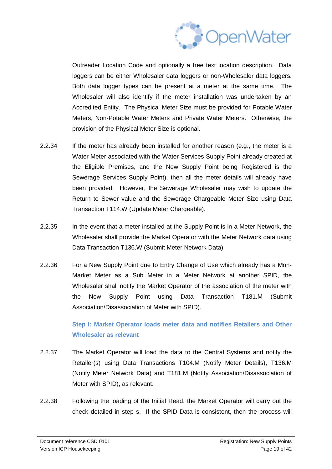

Outreader Location Code and optionally a free text location description. Data loggers can be either Wholesaler data loggers or non-Wholesaler data loggers. Both data logger types can be present at a meter at the same time. The Wholesaler will also identify if the meter installation was undertaken by an Accredited Entity. The Physical Meter Size must be provided for Potable Water Meters, Non-Potable Water Meters and Private Water Meters. Otherwise, the provision of the Physical Meter Size is optional.

- 2.2.34 If the meter has already been installed for another reason (e.g., the meter is a Water Meter associated with the Water Services Supply Point already created at the Eligible Premises, and the New Supply Point being Registered is the Sewerage Services Supply Point), then all the meter details will already have been provided. However, the Sewerage Wholesaler may wish to update the Return to Sewer value and the Sewerage Chargeable Meter Size using Data Transaction T114.W (Update Meter Chargeable).
- 2.2.35 In the event that a meter installed at the Supply Point is in a Meter Network, the Wholesaler shall provide the Market Operator with the Meter Network data using Data Transaction T136.W (Submit Meter Network Data).
- 2.2.36 For a New Supply Point due to Entry Change of Use which already has a Mon-Market Meter as a Sub Meter in a Meter Network at another SPID, the Wholesaler shall notify the Market Operator of the association of the meter with the New Supply Point using Data Transaction T181.M (Submit Association/Disassociation of Meter with SPID).

**Step l: Market Operator loads meter data and notifies Retailers and Other Wholesaler as relevant**

- 2.2.37 The Market Operator will load the data to the Central Systems and notify the Retailer(s) using Data Transactions T104.M (Notify Meter Details), T136.M (Notify Meter Network Data) and T181.M (Notify Association/Disassociation of Meter with SPID), as relevant.
- 2.2.38 Following the loading of the Initial Read, the Market Operator will carry out the check detailed in step s. If the SPID Data is consistent, then the process will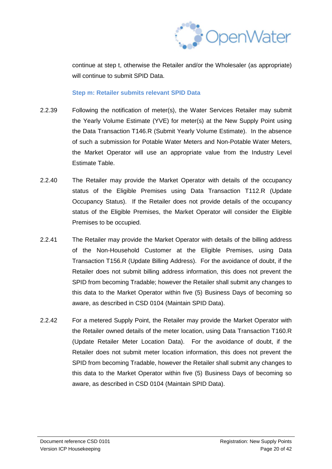

continue at step t, otherwise the Retailer and/or the Wholesaler (as appropriate) will continue to submit SPID Data

#### **Step m: Retailer submits relevant SPID Data**

- 2.2.39 Following the notification of meter(s), the Water Services Retailer may submit the Yearly Volume Estimate (YVE) for meter(s) at the New Supply Point using the Data Transaction T146.R (Submit Yearly Volume Estimate). In the absence of such a submission for Potable Water Meters and Non-Potable Water Meters, the Market Operator will use an appropriate value from the Industry Level Estimate Table.
- 2.2.40 The Retailer may provide the Market Operator with details of the occupancy status of the Eligible Premises using Data Transaction T112.R (Update Occupancy Status). If the Retailer does not provide details of the occupancy status of the Eligible Premises, the Market Operator will consider the Eligible Premises to be occupied.
- 2.2.41 The Retailer may provide the Market Operator with details of the billing address of the Non-Household Customer at the Eligible Premises, using Data Transaction T156.R (Update Billing Address). For the avoidance of doubt, if the Retailer does not submit billing address information, this does not prevent the SPID from becoming Tradable; however the Retailer shall submit any changes to this data to the Market Operator within five (5) Business Days of becoming so aware, as described in CSD 0104 (Maintain SPID Data).
- 2.2.42 For a metered Supply Point, the Retailer may provide the Market Operator with the Retailer owned details of the meter location, using Data Transaction T160.R (Update Retailer Meter Location Data). For the avoidance of doubt, if the Retailer does not submit meter location information, this does not prevent the SPID from becoming Tradable, however the Retailer shall submit any changes to this data to the Market Operator within five (5) Business Days of becoming so aware, as described in CSD 0104 (Maintain SPID Data).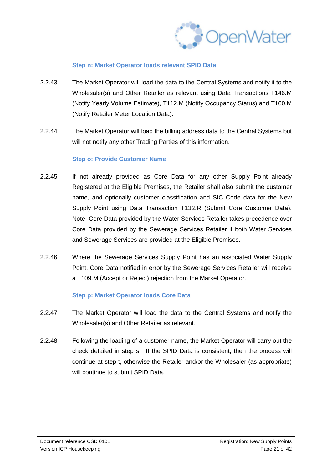

#### **Step n: Market Operator loads relevant SPID Data**

- 2.2.43 The Market Operator will load the data to the Central Systems and notify it to the Wholesaler(s) and Other Retailer as relevant using Data Transactions T146.M (Notify Yearly Volume Estimate), T112.M (Notify Occupancy Status) and T160.M (Notify Retailer Meter Location Data).
- 2.2.44 The Market Operator will load the billing address data to the Central Systems but will not notify any other Trading Parties of this information.

#### **Step o: Provide Customer Name**

- 2.2.45 If not already provided as Core Data for any other Supply Point already Registered at the Eligible Premises, the Retailer shall also submit the customer name, and optionally customer classification and SIC Code data for the New Supply Point using Data Transaction T132.R (Submit Core Customer Data). Note: Core Data provided by the Water Services Retailer takes precedence over Core Data provided by the Sewerage Services Retailer if both Water Services and Sewerage Services are provided at the Eligible Premises.
- 2.2.46 Where the Sewerage Services Supply Point has an associated Water Supply Point, Core Data notified in error by the Sewerage Services Retailer will receive a T109.M (Accept or Reject) rejection from the Market Operator.

#### **Step p: Market Operator loads Core Data**

- 2.2.47 The Market Operator will load the data to the Central Systems and notify the Wholesaler(s) and Other Retailer as relevant.
- 2.2.48 Following the loading of a customer name, the Market Operator will carry out the check detailed in step s. If the SPID Data is consistent, then the process will continue at step t, otherwise the Retailer and/or the Wholesaler (as appropriate) will continue to submit SPID Data.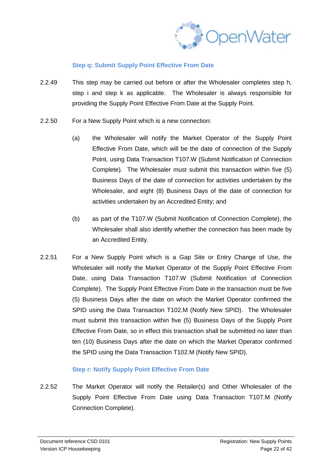

#### **Step q: Submit Supply Point Effective From Date**

- 2.2.49 This step may be carried out before or after the Wholesaler completes step h, step i and step k as applicable. The Wholesaler is always responsible for providing the Supply Point Effective From Date at the Supply Point.
- 2.2.50 For a New Supply Point which is a new connection:
	- (a) the Wholesaler will notify the Market Operator of the Supply Point Effective From Date, which will be the date of connection of the Supply Point, using Data Transaction T107.W (Submit Notification of Connection Complete). The Wholesaler must submit this transaction within five (5) Business Days of the date of connection for activities undertaken by the Wholesaler, and eight (8) Business Days of the date of connection for activities undertaken by an Accredited Entity; and
	- (b) as part of the T107.W (Submit Notification of Connection Complete), the Wholesaler shall also identify whether the connection has been made by an Accredited Entity.
- 2.2.51 For a New Supply Point which is a Gap Site or Entry Change of Use, the Wholesaler will notify the Market Operator of the Supply Point Effective From Date, using Data Transaction T107.W (Submit Notification of Connection Complete). The Supply Point Effective From Date in the transaction must be five (5) Business Days after the date on which the Market Operator confirmed the SPID using the Data Transaction T102.M (Notify New SPID). The Wholesaler must submit this transaction within five (5) Business Days of the Supply Point Effective From Date, so in effect this transaction shall be submitted no later than ten (10) Business Days after the date on which the Market Operator confirmed the SPID using the Data Transaction T102.M (Notify New SPID).

#### **Step r: Notify Supply Point Effective From Date**

2.2.52 The Market Operator will notify the Retailer(s) and Other Wholesaler of the Supply Point Effective From Date using Data Transaction T107.M (Notify Connection Complete).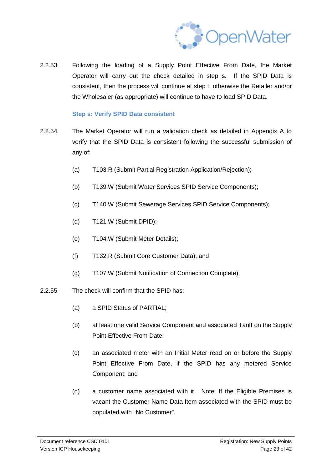

2.2.53 Following the loading of a Supply Point Effective From Date, the Market Operator will carry out the check detailed in step s. If the SPID Data is consistent, then the process will continue at step t, otherwise the Retailer and/or the Wholesaler (as appropriate) will continue to have to load SPID Data.

#### **Step s: Verify SPID Data consistent**

- 2.2.54 The Market Operator will run a validation check as detailed in Appendix A to verify that the SPID Data is consistent following the successful submission of any of:
	- (a) T103.R (Submit Partial Registration Application/Rejection);
	- (b) T139.W (Submit Water Services SPID Service Components);
	- (c) T140.W (Submit Sewerage Services SPID Service Components);
	- (d) T121.W (Submit DPID);
	- (e) T104.W (Submit Meter Details);
	- (f) T132.R (Submit Core Customer Data); and
	- (g) T107.W (Submit Notification of Connection Complete);
- 2.2.55 The check will confirm that the SPID has:
	- (a) a SPID Status of PARTIAL;
	- (b) at least one valid Service Component and associated Tariff on the Supply Point Effective From Date;
	- (c) an associated meter with an Initial Meter read on or before the Supply Point Effective From Date, if the SPID has any metered Service Component; and
	- (d) a customer name associated with it. Note: If the Eligible Premises is vacant the Customer Name Data Item associated with the SPID must be populated with "No Customer".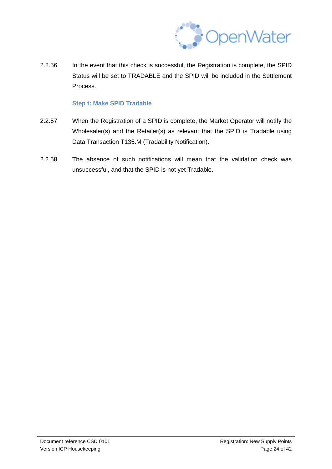

2.2.56 In the event that this check is successful, the Registration is complete, the SPID Status will be set to TRADABLE and the SPID will be included in the Settlement Process.

#### **Step t: Make SPID Tradable**

- 2.2.57 When the Registration of a SPID is complete, the Market Operator will notify the Wholesaler(s) and the Retailer(s) as relevant that the SPID is Tradable using Data Transaction T135.M (Tradability Notification).
- 2.2.58 The absence of such notifications will mean that the validation check was unsuccessful, and that the SPID is not yet Tradable.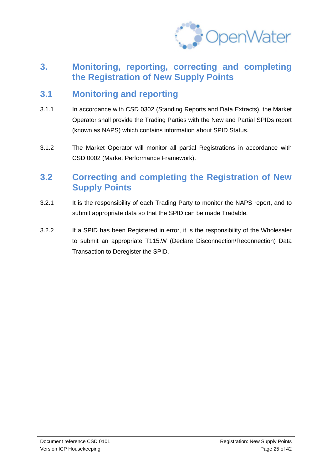

### **3. Monitoring, reporting, correcting and completing the Registration of New Supply Points**

### **3.1 Monitoring and reporting**

- 3.1.1 In accordance with CSD 0302 (Standing Reports and Data Extracts), the Market Operator shall provide the Trading Parties with the New and Partial SPIDs report (known as NAPS) which contains information about SPID Status.
- 3.1.2 The Market Operator will monitor all partial Registrations in accordance with CSD 0002 (Market Performance Framework).

### **3.2 Correcting and completing the Registration of New Supply Points**

- 3.2.1 It is the responsibility of each Trading Party to monitor the NAPS report, and to submit appropriate data so that the SPID can be made Tradable.
- 3.2.2 If a SPID has been Registered in error, it is the responsibility of the Wholesaler to submit an appropriate T115.W (Declare Disconnection/Reconnection) Data Transaction to Deregister the SPID.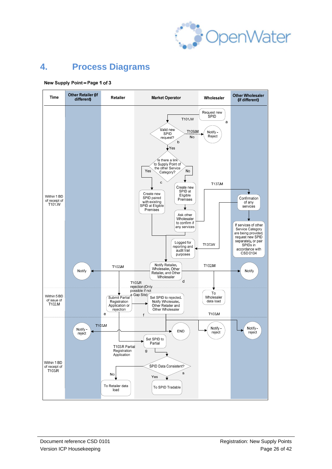

## **4. Process Diagrams**



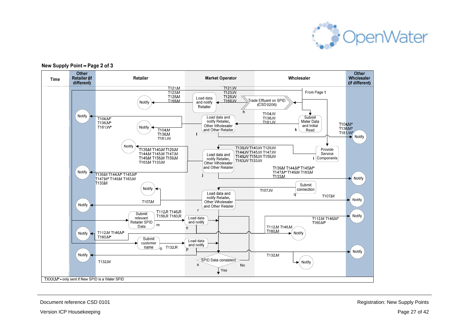



#### New Supply Point - Page 2 of 3

Document reference CSD 0101 Registration: New Supply Points

Version ICP Housekeeping **Page 27 of 42** Version ICP Housekeeping Page 27 of 42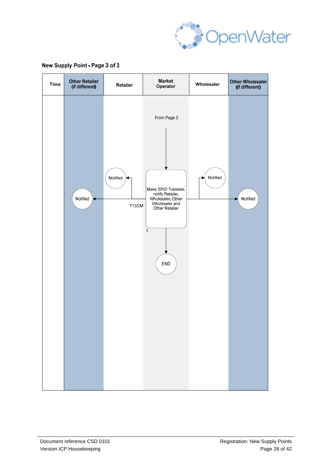

#### New Supply Point - Page 3 of 3

| <b>Time</b> | <b>Other Retailer</b><br>(if different) | Retailer           | <b>Market</b><br>Operator                                                                                                           | Wholesaler | Other Wholesaler<br>(if different) |
|-------------|-----------------------------------------|--------------------|-------------------------------------------------------------------------------------------------------------------------------------|------------|------------------------------------|
|             | Notified                                | Notified<br>T135.M | From Page 2<br>Make SPID Tradable.<br>notify Retailer,<br>Wholesaler, Other<br>Wholesaler and<br>Other Retailer<br>t<br>${\sf END}$ | Notified   | Notified                           |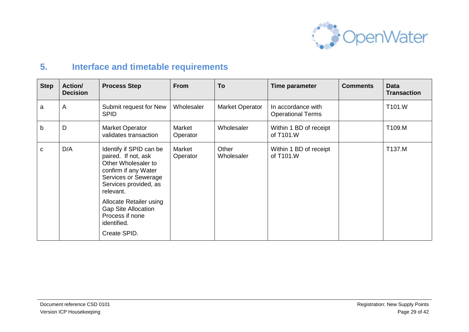

## **5. Interface and timetable requirements**

| <b>Step</b> | <b>Action/</b><br><b>Decision</b> | <b>Process Step</b>                                                                                                                                                | <b>From</b>        | To                     | Time parameter                                 | <b>Comments</b> | <b>Data</b><br><b>Transaction</b> |
|-------------|-----------------------------------|--------------------------------------------------------------------------------------------------------------------------------------------------------------------|--------------------|------------------------|------------------------------------------------|-----------------|-----------------------------------|
| а           | A                                 | Submit request for New<br><b>SPID</b>                                                                                                                              | Wholesaler         | <b>Market Operator</b> | In accordance with<br><b>Operational Terms</b> |                 | T101.W                            |
| b           | D                                 | <b>Market Operator</b><br>validates transaction                                                                                                                    | Market<br>Operator | Wholesaler             | Within 1 BD of receipt<br>of T101.W            |                 | T109.M                            |
| C           | D/A                               | Identify if SPID can be<br>paired. If not, ask<br>Other Wholesaler to<br>confirm if any Water<br><b>Services or Sewerage</b><br>Services provided, as<br>relevant. | Market<br>Operator | Other<br>Wholesaler    | Within 1 BD of receipt<br>of T101.W            |                 | T137.M                            |
|             |                                   | Allocate Retailer using<br><b>Gap Site Allocation</b><br>Process if none<br>identified.<br>Create SPID.                                                            |                    |                        |                                                |                 |                                   |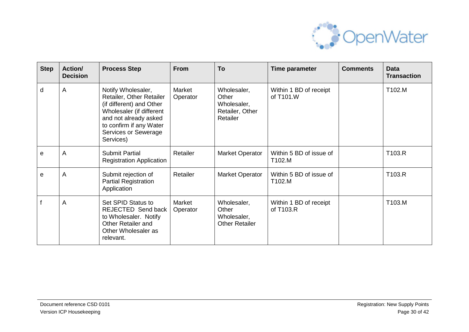

| <b>Step</b> | Action/<br><b>Decision</b> | <b>Process Step</b>                                                                                                                                                                             | <b>From</b>        | To                                                                 | Time parameter                      | <b>Comments</b> | <b>Data</b><br><b>Transaction</b> |
|-------------|----------------------------|-------------------------------------------------------------------------------------------------------------------------------------------------------------------------------------------------|--------------------|--------------------------------------------------------------------|-------------------------------------|-----------------|-----------------------------------|
| d           | A                          | Notify Wholesaler,<br>Retailer, Other Retailer<br>(if different) and Other<br>Wholesaler (if different<br>and not already asked<br>to confirm if any Water<br>Services or Sewerage<br>Services) | Market<br>Operator | Wholesaler,<br>Other<br>Wholesaler,<br>Retailer, Other<br>Retailer | Within 1 BD of receipt<br>of T101.W |                 | T102.M                            |
| e           | A                          | <b>Submit Partial</b><br><b>Registration Application</b>                                                                                                                                        | Retailer           | Market Operator                                                    | Within 5 BD of issue of<br>T102.M   |                 | T103.R                            |
| e           | A                          | Submit rejection of<br><b>Partial Registration</b><br>Application                                                                                                                               | Retailer           | <b>Market Operator</b>                                             | Within 5 BD of issue of<br>T102.M   |                 | T103.R                            |
|             | A                          | Set SPID Status to<br><b>REJECTED Send back</b><br>to Wholesaler. Notify<br><b>Other Retailer and</b><br>Other Wholesaler as<br>relevant.                                                       | Market<br>Operator | Wholesaler,<br>Other<br>Wholesaler,<br><b>Other Retailer</b>       | Within 1 BD of receipt<br>of T103.R |                 | T103.M                            |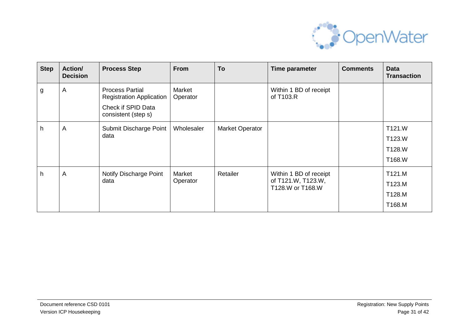

| <b>Step</b> | <b>Action/</b><br><b>Decision</b> | <b>Process Step</b>                                                                                    | From               | To                     | Time parameter                                                   | <b>Comments</b> | <b>Data</b><br><b>Transaction</b>    |
|-------------|-----------------------------------|--------------------------------------------------------------------------------------------------------|--------------------|------------------------|------------------------------------------------------------------|-----------------|--------------------------------------|
| g           | $\overline{A}$                    | <b>Process Partial</b><br><b>Registration Application</b><br>Check if SPID Data<br>consistent (step s) | Market<br>Operator |                        | Within 1 BD of receipt<br>of T103.R                              |                 |                                      |
| h.          | $\overline{A}$                    | Submit Discharge Point<br>data                                                                         | Wholesaler         | <b>Market Operator</b> |                                                                  |                 | T121.W<br>T123.W<br>T128.W<br>T168.W |
| h           | $\overline{A}$                    | Notify Discharge Point<br>data                                                                         | Market<br>Operator | Retailer               | Within 1 BD of receipt<br>of T121.W, T123.W,<br>T128.W or T168.W |                 | T121.M<br>T123.M<br>T128.M<br>T168.M |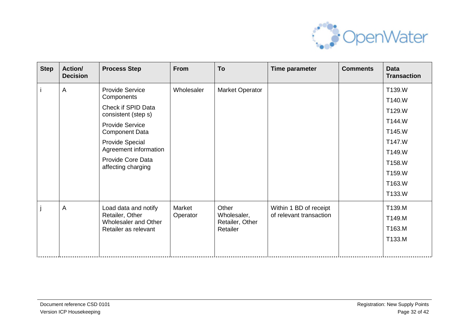

| <b>Step</b> | <b>Action/</b><br><b>Decision</b> | <b>Process Step</b>                                                                                                                                                                                                         | <b>From</b>        | To                                                  | Time parameter                                    | <b>Comments</b> | <b>Data</b><br><b>Transaction</b>                                                                          |
|-------------|-----------------------------------|-----------------------------------------------------------------------------------------------------------------------------------------------------------------------------------------------------------------------------|--------------------|-----------------------------------------------------|---------------------------------------------------|-----------------|------------------------------------------------------------------------------------------------------------|
|             | A                                 | <b>Provide Service</b><br>Components<br>Check if SPID Data<br>consistent (step s)<br><b>Provide Service</b><br><b>Component Data</b><br>Provide Special<br>Agreement information<br>Provide Core Data<br>affecting charging | Wholesaler         | Market Operator                                     |                                                   |                 | T139.W<br>T140.W<br>T129.W<br>T144.W<br>T145.W<br>T147.W<br>T149.W<br>T158.W<br>T159.W<br>T163.W<br>T133.W |
|             | A                                 | Load data and notify<br>Retailer, Other<br>Wholesaler and Other<br>Retailer as relevant                                                                                                                                     | Market<br>Operator | Other<br>Wholesaler,<br>Retailer, Other<br>Retailer | Within 1 BD of receipt<br>of relevant transaction |                 | T139.M<br>T149.M<br>T163.M<br>T133.M                                                                       |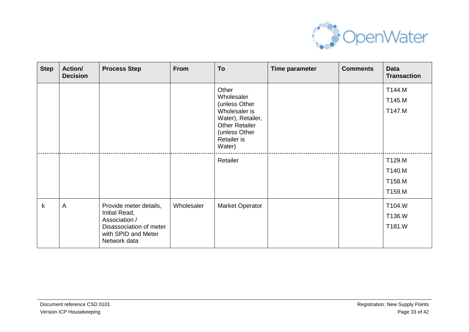

| <b>Step</b>  | <b>Action/</b><br><b>Decision</b> | <b>Process Step</b>                                                                                                        | <b>From</b> | To                                                                                                                                            | Time parameter | <b>Comments</b> | <b>Data</b><br><b>Transaction</b>    |
|--------------|-----------------------------------|----------------------------------------------------------------------------------------------------------------------------|-------------|-----------------------------------------------------------------------------------------------------------------------------------------------|----------------|-----------------|--------------------------------------|
|              |                                   |                                                                                                                            |             | Other<br>Wholesaler<br>(unless Other<br>Wholesaler is<br>Water), Retailer,<br><b>Other Retailer</b><br>(unless Other<br>Retailer is<br>Water) |                |                 | T144.M<br>T145.M<br>T147.M           |
|              |                                   |                                                                                                                            |             | Retailer                                                                                                                                      |                |                 | T129.M<br>T140.M<br>T158.M<br>T159.M |
| $\mathsf{k}$ | $\overline{A}$                    | Provide meter details,<br>Initial Read,<br>Association /<br>Disassociation of meter<br>with SPID and Meter<br>Network data | Wholesaler  | <b>Market Operator</b>                                                                                                                        |                |                 | T104.W<br>T136.W<br>T181.W           |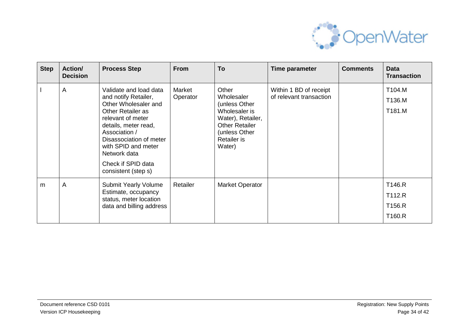

| <b>Step</b> | Action/<br><b>Decision</b> | <b>Process Step</b>                                                                                                                                                                                                                                                      | <b>From</b>        | To                                                                                                                                            | Time parameter                                    | <b>Comments</b> | <b>Data</b><br><b>Transaction</b>    |
|-------------|----------------------------|--------------------------------------------------------------------------------------------------------------------------------------------------------------------------------------------------------------------------------------------------------------------------|--------------------|-----------------------------------------------------------------------------------------------------------------------------------------------|---------------------------------------------------|-----------------|--------------------------------------|
|             | A                          | Validate and load data<br>and notify Retailer,<br>Other Wholesaler and<br>Other Retailer as<br>relevant of meter<br>details, meter read,<br>Association /<br>Disassociation of meter<br>with SPID and meter<br>Network data<br>Check if SPID data<br>consistent (step s) | Market<br>Operator | Other<br>Wholesaler<br>(unless Other<br>Wholesaler is<br>Water), Retailer,<br><b>Other Retailer</b><br>(unless Other<br>Retailer is<br>Water) | Within 1 BD of receipt<br>of relevant transaction |                 | T104.M<br>T136.M<br>T181.M           |
| m           | A                          | <b>Submit Yearly Volume</b><br>Estimate, occupancy<br>status, meter location<br>data and billing address                                                                                                                                                                 | Retailer           | <b>Market Operator</b>                                                                                                                        |                                                   |                 | T146.R<br>T112.R<br>T156.R<br>T160.R |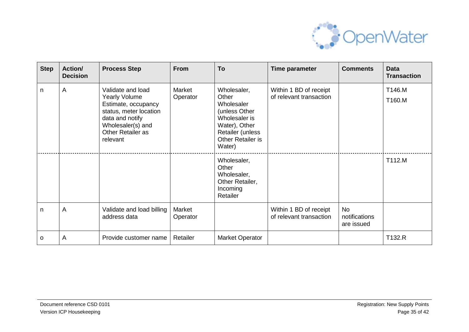

| <b>Step</b> | <b>Action/</b><br><b>Decision</b> | <b>Process Step</b>                                                                                                                                                 | <b>From</b>        | To                                                                                                                                       | Time parameter                                    | <b>Comments</b>                   | <b>Data</b><br><b>Transaction</b> |
|-------------|-----------------------------------|---------------------------------------------------------------------------------------------------------------------------------------------------------------------|--------------------|------------------------------------------------------------------------------------------------------------------------------------------|---------------------------------------------------|-----------------------------------|-----------------------------------|
| n.          | A                                 | Validate and load<br><b>Yearly Volume</b><br>Estimate, occupancy<br>status, meter location<br>data and notify<br>Wholesaler(s) and<br>Other Retailer as<br>relevant | Market<br>Operator | Wholesaler,<br>Other<br>Wholesaler<br>(unless Other<br>Wholesaler is<br>Water), Other<br>Retailer (unless<br>Other Retailer is<br>Water) | Within 1 BD of receipt<br>of relevant transaction |                                   | T146.M<br>T160.M                  |
|             |                                   |                                                                                                                                                                     |                    | Wholesaler,<br>Other<br>Wholesaler,<br>Other Retailer,<br>Incoming<br>Retailer                                                           |                                                   |                                   | T112.M                            |
| n.          | A                                 | Validate and load billing<br>address data                                                                                                                           | Market<br>Operator |                                                                                                                                          | Within 1 BD of receipt<br>of relevant transaction | No<br>notifications<br>are issued |                                   |
| O           | A                                 | Provide customer name                                                                                                                                               | Retailer           | <b>Market Operator</b>                                                                                                                   |                                                   |                                   | T132.R                            |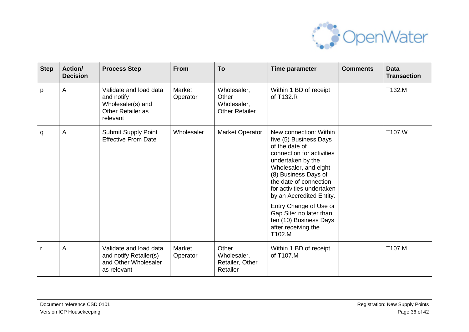

| <b>Step</b> | <b>Action/</b><br><b>Decision</b> | <b>Process Step</b>                                                                               | <b>From</b>        | To                                                           | Time parameter                                                                                                                                                                                                                                                                                                                                                           | <b>Comments</b> | <b>Data</b><br><b>Transaction</b> |
|-------------|-----------------------------------|---------------------------------------------------------------------------------------------------|--------------------|--------------------------------------------------------------|--------------------------------------------------------------------------------------------------------------------------------------------------------------------------------------------------------------------------------------------------------------------------------------------------------------------------------------------------------------------------|-----------------|-----------------------------------|
| p           | A                                 | Validate and load data<br>and notify<br>Wholesaler(s) and<br><b>Other Retailer as</b><br>relevant | Market<br>Operator | Wholesaler,<br>Other<br>Wholesaler,<br><b>Other Retailer</b> | Within 1 BD of receipt<br>of T132.R                                                                                                                                                                                                                                                                                                                                      |                 | T132.M                            |
| q           | $\overline{A}$                    | Submit Supply Point<br><b>Effective From Date</b>                                                 | Wholesaler         | Market Operator                                              | New connection: Within<br>five (5) Business Days<br>of the date of<br>connection for activities<br>undertaken by the<br>Wholesaler, and eight<br>(8) Business Days of<br>the date of connection<br>for activities undertaken<br>by an Accredited Entity.<br>Entry Change of Use or<br>Gap Site: no later than<br>ten (10) Business Days<br>after receiving the<br>T102.M |                 | T107.W                            |
|             | $\overline{A}$                    | Validate and load data<br>and notify Retailer(s)<br>and Other Wholesaler<br>as relevant           | Market<br>Operator | Other<br>Wholesaler,<br>Retailer, Other<br>Retailer          | Within 1 BD of receipt<br>of T107.M                                                                                                                                                                                                                                                                                                                                      |                 | T107.M                            |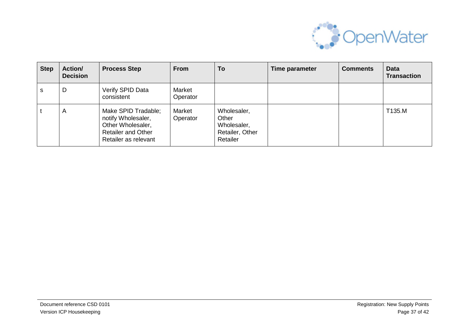

| <b>Step</b> | <b>Action/</b><br><b>Decision</b> | <b>Process Step</b>                                                                                                 | <b>From</b>        | To                                                                 | Time parameter | <b>Comments</b> | <b>Data</b><br><b>Transaction</b> |
|-------------|-----------------------------------|---------------------------------------------------------------------------------------------------------------------|--------------------|--------------------------------------------------------------------|----------------|-----------------|-----------------------------------|
| s           | D                                 | Verify SPID Data<br>consistent                                                                                      | Market<br>Operator |                                                                    |                |                 |                                   |
|             | A                                 | Make SPID Tradable;<br>notify Wholesaler,<br>Other Wholesaler,<br><b>Retailer and Other</b><br>Retailer as relevant | Market<br>Operator | Wholesaler,<br>Other<br>Wholesaler,<br>Retailer, Other<br>Retailer |                |                 | T135.M                            |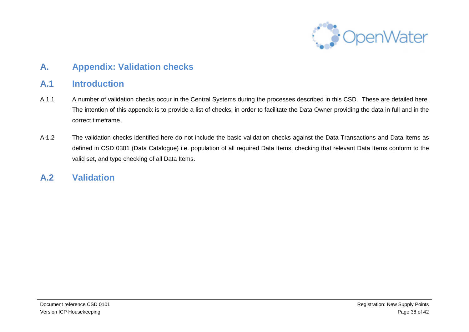

### **A. Appendix: Validation checks**

### **A.1 Introduction**

- A.1.1 A number of validation checks occur in the Central Systems during the processes described in this CSD. These are detailed here. The intention of this appendix is to provide a list of checks, in order to facilitate the Data Owner providing the data in full and in the correct timeframe.
- A.1.2 The validation checks identified here do not include the basic validation checks against the Data Transactions and Data Items as defined in CSD 0301 (Data Catalogue) i.e. population of all required Data Items, checking that relevant Data Items conform to the valid set, and type checking of all Data Items.

### **A.2 Validation**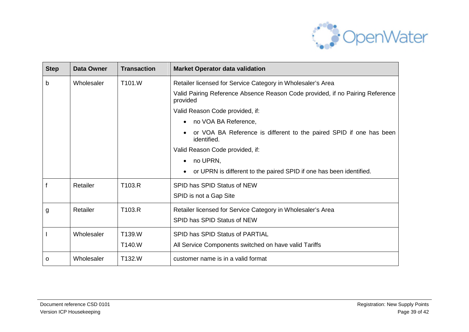

| <b>Step</b>             | <b>Data Owner</b> | <b>Transaction</b>                        | <b>Market Operator data validation</b>                                                    |  |
|-------------------------|-------------------|-------------------------------------------|-------------------------------------------------------------------------------------------|--|
| b                       | Wholesaler        | T101.W                                    | Retailer licensed for Service Category in Wholesaler's Area                               |  |
|                         |                   |                                           | Valid Pairing Reference Absence Reason Code provided, if no Pairing Reference<br>provided |  |
|                         |                   |                                           | Valid Reason Code provided, if:                                                           |  |
|                         |                   |                                           | no VOA BA Reference,                                                                      |  |
|                         |                   |                                           | or VOA BA Reference is different to the paired SPID if one has been<br>identified.        |  |
|                         |                   |                                           | Valid Reason Code provided, if:                                                           |  |
|                         |                   |                                           | no UPRN,                                                                                  |  |
|                         |                   |                                           | or UPRN is different to the paired SPID if one has been identified.                       |  |
|                         | Retailer          | T103.R                                    | SPID has SPID Status of NEW                                                               |  |
|                         |                   |                                           | SPID is not a Gap Site                                                                    |  |
| Retailer<br>T103.R<br>g |                   |                                           | Retailer licensed for Service Category in Wholesaler's Area                               |  |
|                         |                   |                                           | SPID has SPID Status of NEW                                                               |  |
|                         | Wholesaler        | T139.W<br>SPID has SPID Status of PARTIAL |                                                                                           |  |
|                         |                   | T140.W                                    | All Service Components switched on have valid Tariffs                                     |  |
| 0                       | Wholesaler        | T132.W                                    | customer name is in a valid format                                                        |  |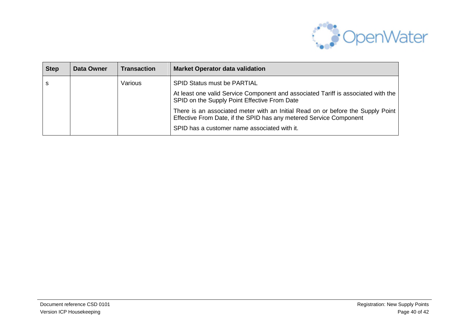

| <b>Step</b> | Data Owner | Transaction | <b>Market Operator data validation</b>                                                                                                                |
|-------------|------------|-------------|-------------------------------------------------------------------------------------------------------------------------------------------------------|
| S           |            | Various     | <b>SPID Status must be PARTIAL</b>                                                                                                                    |
|             |            |             | At least one valid Service Component and associated Tariff is associated with the<br>SPID on the Supply Point Effective From Date                     |
|             |            |             | There is an associated meter with an Initial Read on or before the Supply Point<br>Effective From Date, if the SPID has any metered Service Component |
|             |            |             | SPID has a customer name associated with it.                                                                                                          |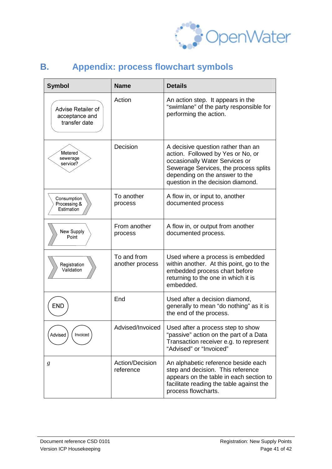

#### **Symbol Name Details** Action Action Action step. It appears in the "swimlane" of the party responsible for Advise Retailer of performing the action. acceptance and transfer date Decision  $\vert$  A decisive question rather than an Metered action. Followed by Yes or No, or sewerage occasionally Water Services or service? Sewerage Services, the process splits depending on the answer to the question in the decision diamond. To another A flow in, or input to, another Consumption Processing & process documented process Estimation From another A flow in, or output from another New Supply process documented process. Point To and from Used where a process is embedded Registration another process within another. At this point, go to the Validation embedded process chart before returning to the one in which it is embedded. End Used after a decision diamond, **END** generally to mean "do nothing" as it is the end of the process. Advised/Invoiced Used after a process step to show Advised Invoiced "passive" action on the part of a Data Transaction receiver e.g. to represent "Advised" or "Invoiced" *g* Action/Decision An alphabetic reference beside each reference step and decision. This reference appears on the table in each section to facilitate reading the table against the process flowcharts.

### **B. Appendix: process flowchart symbols**